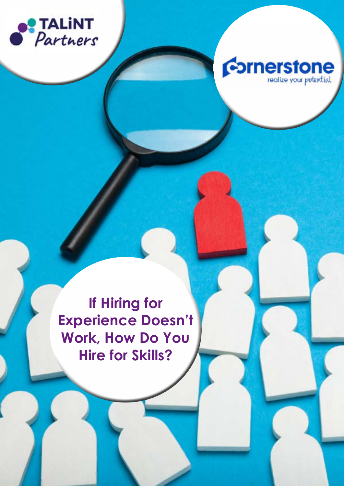



**If Hiring for Experience Doesn't Work, How Do You Hire for Skills?**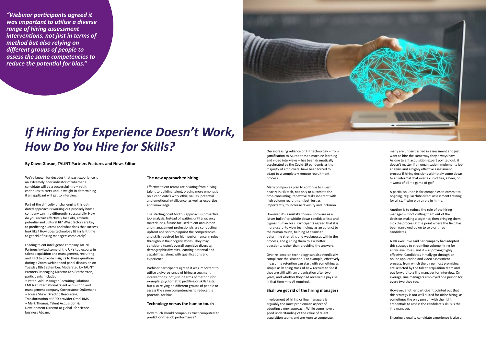## *If Hiring for Experience Doesn't Work, How Do You Hire for Skills?*

We've known for decades that past experience is an extremely poor indicator of whether a candidate will be a successful hire – yet it continues to carry undue weight in determining if an applicant will get to interview.

Part of the difficulty of challenging this outdated approach is working out precisely how a company can hire differently, successfully. How do you recruit effectively for skills, attitude, potential and cultural fit? What factors are key to predicting success and what does that success look like? How does technology fit in? Is it time to get rid of hiring managers completely?

Leading talent intelligence company TALiNT Partners invited some of the UK's top experts in talent acquisition and management, recruiting and RPO to provide insights to these questions during a Zoom webinar and panel discussion on Tuesday 8th September. Moderated by TALiNT Partners' Managing Director Ken Brotherston, participants included:

• Peter Gold, Manager Recruiting Solutions EMEA at international talent acquisition and management company Cornerstone OnDemand • Louise Shaw, Director, Resourcing Transformation at RPO provider Omni RMS • Mark Thomas, Talent Acquisition & Development Director at global life science business Abcam.

### **The new approach to hiring**

Effective talent teams are pivoting from buying talent to building talent, placing more emphasis on a candidate's work ethic, values, potential and emotional intelligence, as well as expertise and knowledge.

The starting point for this approach is pro-active job analysis. Instead of waiting until a vacancy materialises, future-focused talent acquisition and management professionals are conducting upfront analysis to pinpoint the competencies and skills required for high performance in roles throughout their organisations. They may consider a team's overall cognitive diversity, demographic diversity, learning potential and capabilities, along with qualifications and experience.

Webinar participants agreed it was important to utilise a diverse range of hiring assessment interventions, not just in terms of method (for example, psychometric profiling or skills tests) but also relying on different groups of people to assess the same competencies to reduce the potential for bias.

#### **Technology versus the human touch**

How much should companies trust computers to predict on-the-job performance?

Our increasing reliance on HR technology – from gamification to AI, robotics to machine learning and video interviews – has been dramatically accelerated by the Covid-19 pandemic as the majority of employers have been forced to adapt to a completely remote recruitment process.

Many companies plan to continue to invest heavily in HR tech, not only to automate the time-consuming, repetitive tasks inherent with high volume recruitment but, just as importantly, to increase diversity and inclusion.

However, it's a mistake to view software as a 'silver bullet' to whittle down candidate lists and bypass human bias. Participants agreed that it is more useful to view technology as an adjunct to the human touch, helping TA teams to determine strengths and weaknesses within the process, and guiding them to ask better questions, rather than providing the answers.

Over-reliance on technology can also needlessly complicate the situation. For example, effectively measuring retention can start with something as simple as keeping track of new recruits to see if they are still with an organisation after two years, and whether they had received a pay rise in that time – no AI required.

#### **Shall we get rid of the hiring manager?**

Involvement of hiring or line managers is arguably the most problematic aspect of adopting a new approach. While some have a good understanding of the value of talent acquisition teams and are keen to cooperate,



many are under-trained in assessment and just want to hire the same way they always have. As one talent acquisition expert pointed out, it doesn't matter if an organisation implements job analysis and a highly effective assessment process if hiring decisions ultimately come down to an informal chat over a cup of tea, a beer, or – worst of all – a game of golf.

A partial solution is for companies to commit to ongoing, regular 'bite-sized' assessment training for all staff who play a role in hiring.

Another is to reduce the role of the hiring manager – if not cutting them out of the decision-making altogether, then bringing them into the process at the point where the field has been narrowed down to two or three candidates.

A HR executive said her company had adopted this strategy to streamline volume hiring for entry level roles, and it was proving highly effective. Candidates initially go through an online application and video assessment process, from which the three most promising are selected by the talent acquisition team and put forward to a line manager for interview. On average, line managers employed one person for every two they see.

However, another participant pointed out that this strategy is not well suited for niche hiring, as sometimes the only person with the right credentials to assess the candidate's skills is the line manager.

Ensuring a quality candidate experience is also a

#### **By Dawn Gibson, TALiNT Partners Features and News Editor**

*"Webinar participants agreed it was important to utilise a diverse range of hiring assessment interventions, not just in terms of method but also relying on different groups of people to assess the same competencies to reduce the potential for bias."*